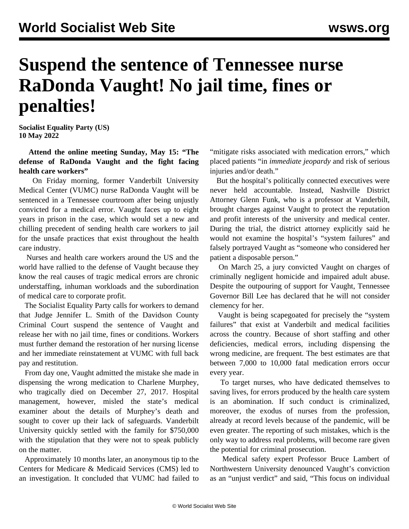## **Suspend the sentence of Tennessee nurse RaDonda Vaught! No jail time, fines or penalties!**

**Socialist Equality Party (US) 10 May 2022**

 **Attend the online meeting Sunday, May 15: ["The](https://register.gotowebinar.com/register/88241728676611343) [defense of RaDonda Vaught and the fight facing](https://register.gotowebinar.com/register/88241728676611343) [health care workers](https://register.gotowebinar.com/register/88241728676611343)"**

 On Friday morning, former Vanderbilt University Medical Center (VUMC) nurse RaDonda Vaught will be sentenced in a Tennessee courtroom after being unjustly convicted for a medical error. Vaught faces up to eight years in prison in the case, which would set a new and chilling precedent of sending health care workers to jail for the unsafe practices that exist throughout the health care industry.

 Nurses and health care workers around the US and the world have rallied to the defense of Vaught because they know the real causes of tragic medical errors are chronic understaffing, inhuman workloads and the subordination of medical care to corporate profit.

 The Socialist Equality Party calls for workers to demand that Judge Jennifer L. Smith of the Davidson County Criminal Court suspend the sentence of Vaught and release her with no jail time, fines or conditions. Workers must further demand the restoration of her nursing license and her immediate reinstatement at VUMC with full back pay and restitution.

 From day one, Vaught admitted the mistake she made in dispensing the wrong medication to Charlene Murphey, who tragically died on December 27, 2017. Hospital management, however, misled the state's medical examiner about the details of Murphey's death and sought to cover up their lack of safeguards. Vanderbilt University quickly settled with the family for \$750,000 with the stipulation that they were not to speak publicly on the matter.

 Approximately 10 months later, an anonymous tip to the Centers for Medicare & Medicaid Services (CMS) led to an investigation. It concluded that VUMC had failed to "mitigate risks associated with medication errors," which placed patients "in *immediate jeopardy* and risk of serious injuries and/or death."

 But the hospital's politically connected executives were never held accountable. Instead, Nashville District Attorney Glenn Funk, who is a professor at Vanderbilt, brought charges against Vaught to protect the reputation and profit interests of the university and medical center. During the trial, the district attorney explicitly said he would not examine the hospital's "system failures" and falsely portrayed Vaught as "someone who considered her patient a disposable person."

 On March 25, a jury convicted Vaught on charges of criminally negligent homicide and impaired adult abuse. Despite the outpouring of support for Vaught, Tennessee Governor Bill Lee has declared that he will not consider clemency for her.

 Vaught is being scapegoated for precisely the "system failures" that exist at Vanderbilt and medical facilities across the country. Because of short staffing and other deficiencies, medical errors, including dispensing the wrong medicine, are frequent. The best estimates are that between 7,000 to 10,000 fatal medication errors occur every year.

 To target nurses, who have dedicated themselves to saving lives, for errors produced by the health care system is an abomination. If such conduct is criminalized, moreover, the exodus of nurses from the profession, already at record levels because of the pandemic, will be even greater. The reporting of such mistakes, which is the only way to address real problems, will become rare given the potential for criminal prosecution.

 Medical safety expert Professor Bruce Lambert of Northwestern University denounced Vaught's conviction as an "unjust verdict" and said, "This focus on individual